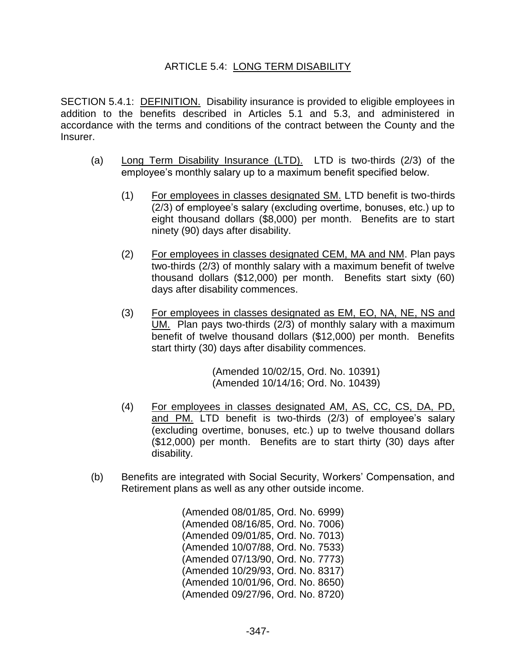## ARTICLE 5.4: LONG TERM DISABILITY

SECTION 5.4.1: DEFINITION. Disability insurance is provided to eligible employees in addition to the benefits described in Articles 5.1 and 5.3, and administered in accordance with the terms and conditions of the contract between the County and the Insurer.

- (a) Long Term Disability Insurance (LTD). LTD is two-thirds (2/3) of the employee's monthly salary up to a maximum benefit specified below.
	- (1) For employees in classes designated SM. LTD benefit is two-thirds (2/3) of employee's salary (excluding overtime, bonuses, etc.) up to eight thousand dollars (\$8,000) per month. Benefits are to start ninety (90) days after disability.
	- (2) For employees in classes designated CEM, MA and NM. Plan pays two-thirds (2/3) of monthly salary with a maximum benefit of twelve thousand dollars (\$12,000) per month. Benefits start sixty (60) days after disability commences.
	- (3) For employees in classes designated as EM, EO, NA, NE, NS and UM. Plan pays two-thirds (2/3) of monthly salary with a maximum benefit of twelve thousand dollars (\$12,000) per month. Benefits start thirty (30) days after disability commences.

(Amended 10/02/15, Ord. No. 10391) (Amended 10/14/16; Ord. No. 10439)

- (4) For employees in classes designated AM, AS, CC, CS, DA, PD, and PM. LTD benefit is two-thirds (2/3) of employee's salary (excluding overtime, bonuses, etc.) up to twelve thousand dollars (\$12,000) per month. Benefits are to start thirty (30) days after disability.
- (b) Benefits are integrated with Social Security, Workers' Compensation, and Retirement plans as well as any other outside income.

(Amended 08/01/85, Ord. No. 6999) (Amended 08/16/85, Ord. No. 7006) (Amended 09/01/85, Ord. No. 7013) (Amended 10/07/88, Ord. No. 7533) (Amended 07/13/90, Ord. No. 7773) (Amended 10/29/93, Ord. No. 8317) (Amended 10/01/96, Ord. No. 8650) (Amended 09/27/96, Ord. No. 8720)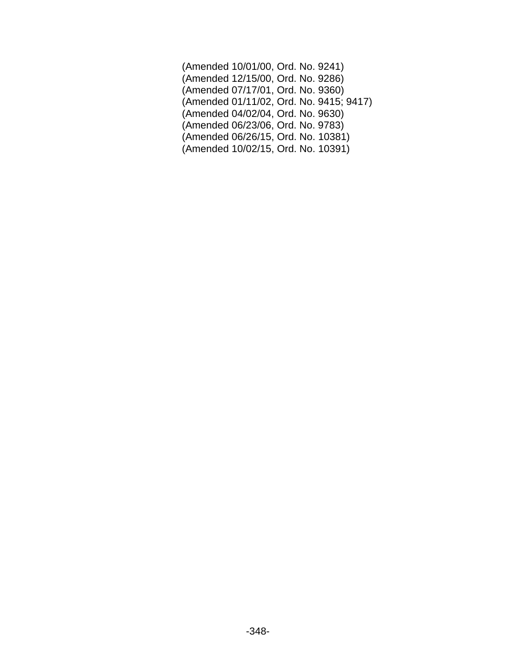| (Amended 10/01/00, Ord. No. 9241)       |  |
|-----------------------------------------|--|
| (Amended 12/15/00, Ord. No. 9286)       |  |
| (Amended 07/17/01, Ord. No. 9360)       |  |
| (Amended 01/11/02, Ord. No. 9415; 9417) |  |
| (Amended 04/02/04, Ord. No. 9630)       |  |
| (Amended 06/23/06, Ord. No. 9783)       |  |
| (Amended 06/26/15, Ord. No. 10381)      |  |
| (Amended 10/02/15, Ord. No. 10391)      |  |